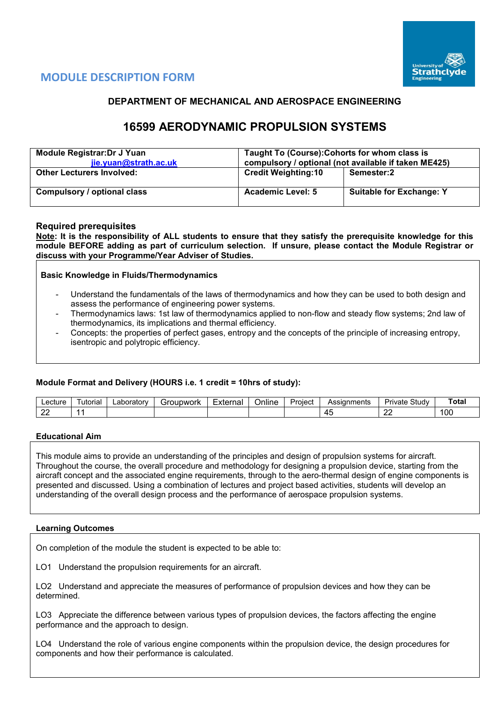

# **MODULE DESCRIPTION FORM**

# **DEPARTMENT OF MECHANICAL AND AEROSPACE ENGINEERING**

# **16599 AERODYNAMIC PROPULSION SYSTEMS**

| Module Registrar: Dr J Yuan<br>jie.yuan@strath.ac.uk | Taught To (Course): Cohorts for whom class is<br>compulsory / optional (not available if taken ME425) |                                 |  |  |  |  |
|------------------------------------------------------|-------------------------------------------------------------------------------------------------------|---------------------------------|--|--|--|--|
| <b>Other Lecturers Involved:</b>                     | <b>Credit Weighting:10</b>                                                                            | Semester:2                      |  |  |  |  |
| Compulsory / optional class                          | <b>Academic Level: 5</b>                                                                              | <b>Suitable for Exchange: Y</b> |  |  |  |  |

## **Required prerequisites**

**Note: It is the responsibility of ALL students to ensure that they satisfy the prerequisite knowledge for this module BEFORE adding as part of curriculum selection. If unsure, please contact the Module Registrar or discuss with your Programme/Year Adviser of Studies.** 

**Basic Knowledge in Fluids/Thermodynamics**

- Understand the fundamentals of the laws of thermodynamics and how they can be used to both design and assess the performance of engineering power systems.
- Thermodynamics laws: 1st law of thermodynamics applied to non-flow and steady flow systems; 2nd law of thermodynamics, its implications and thermal efficiency.
- Concepts: the properties of perfect gases, entropy and the concepts of the principle of increasing entropy, isentropic and polytropic efficiency.

### **Module Format and Delivery (HOURS i.e. 1 credit = 10hrs of study):**

| _ecture             | utorial | _aboratorv | Groupwork | External | <br>⊃nlıne | Project | Assianments | Study<br>Private | Total |
|---------------------|---------|------------|-----------|----------|------------|---------|-------------|------------------|-------|
| $\sim$<br><u>__</u> |         |            |           |          |            |         | ᠇֊          | $\sim$<br>--     | 100   |

#### **Educational Aim**

This module aims to provide an understanding of the principles and design of propulsion systems for aircraft. Throughout the course, the overall procedure and methodology for designing a propulsion device, starting from the aircraft concept and the associated engine requirements, through to the aero-thermal design of engine components is presented and discussed. Using a combination of lectures and project based activities, students will develop an understanding of the overall design process and the performance of aerospace propulsion systems.

#### **Learning Outcomes**

On completion of the module the student is expected to be able to:

LO1 Understand the propulsion requirements for an aircraft.

LO2 Understand and appreciate the measures of performance of propulsion devices and how they can be determined.

LO3 Appreciate the difference between various types of propulsion devices, the factors affecting the engine performance and the approach to design.

LO4 Understand the role of various engine components within the propulsion device, the design procedures for components and how their performance is calculated.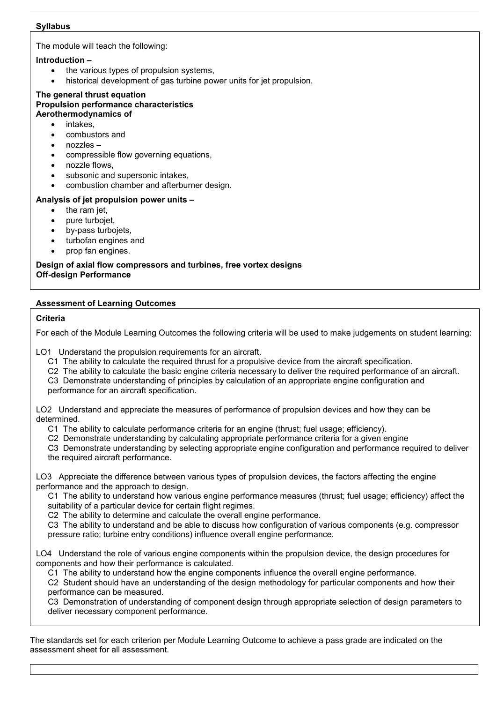# **Syllabus**

The module will teach the following:

# **Introduction –**

- the various types of propulsion systems.
- historical development of gas turbine power units for jet propulsion.

#### **The general thrust equation Propulsion performance characteristics Aerothermodynamics of**

- intakes.
- combustors and
- nozzles –
- compressible flow governing equations,
- nozzle flows,
- subsonic and supersonic intakes,
- combustion chamber and afterburner design.

## **Analysis of jet propulsion power units –**

- the ram jet,
- pure turbojet,
- by-pass turbojets,
- turbofan engines and
- prop fan engines.

## **Design of axial flow compressors and turbines, free vortex designs Off-design Performance**

# **Assessment of Learning Outcomes**

## **Criteria**

For each of the Module Learning Outcomes the following criteria will be used to make judgements on student learning:

LO1 Understand the propulsion requirements for an aircraft.

- C1 The ability to calculate the required thrust for a propulsive device from the aircraft specification.
- C2 The ability to calculate the basic engine criteria necessary to deliver the required performance of an aircraft.

C3 Demonstrate understanding of principles by calculation of an appropriate engine configuration and performance for an aircraft specification.

LO2 Understand and appreciate the measures of performance of propulsion devices and how they can be determined.

- C1 The ability to calculate performance criteria for an engine (thrust; fuel usage; efficiency).
- C2 Demonstrate understanding by calculating appropriate performance criteria for a given engine

C3 Demonstrate understanding by selecting appropriate engine configuration and performance required to deliver the required aircraft performance.

LO3 Appreciate the difference between various types of propulsion devices, the factors affecting the engine performance and the approach to design.

C1 The ability to understand how various engine performance measures (thrust; fuel usage; efficiency) affect the suitability of a particular device for certain flight regimes.

C2 The ability to determine and calculate the overall engine performance.

C3 The ability to understand and be able to discuss how configuration of various components (e.g. compressor pressure ratio; turbine entry conditions) influence overall engine performance.

LO4 Understand the role of various engine components within the propulsion device, the design procedures for components and how their performance is calculated.

C1 The ability to understand how the engine components influence the overall engine performance.

C2 Student should have an understanding of the design methodology for particular components and how their performance can be measured.

C3 Demonstration of understanding of component design through appropriate selection of design parameters to deliver necessary component performance.

The standards set for each criterion per Module Learning Outcome to achieve a pass grade are indicated on the assessment sheet for all assessment.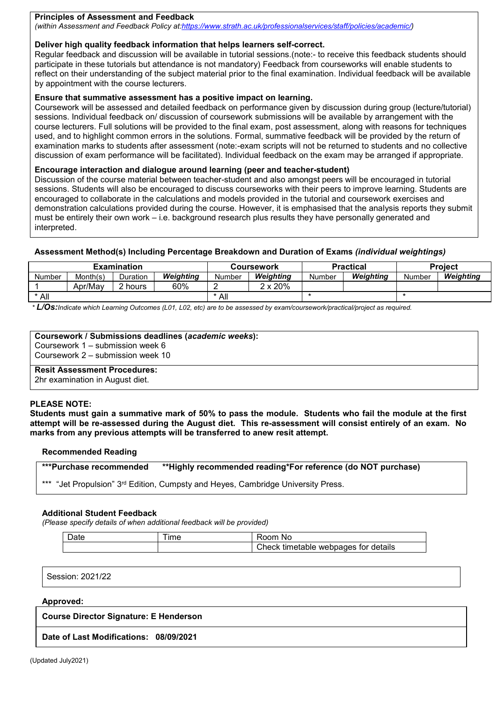#### **Principles of Assessment and Feedback**

*(within Assessment and Feedback Policy a[t:https://www.strath.ac.uk/professionalservices/staff/policies/academic/\)](https://www.strath.ac.uk/professionalservices/staff/policies/academic/)*

### **Deliver high quality feedback information that helps learners self-correct.**

Regular feedback and discussion will be available in tutorial sessions.(note:- to receive this feedback students should participate in these tutorials but attendance is not mandatory) Feedback from courseworks will enable students to reflect on their understanding of the subject material prior to the final examination. Individual feedback will be available by appointment with the course lecturers.

#### **Ensure that summative assessment has a positive impact on learning.**

Coursework will be assessed and detailed feedback on performance given by discussion during group (lecture/tutorial) sessions. Individual feedback on/ discussion of coursework submissions will be available by arrangement with the course lecturers. Full solutions will be provided to the final exam, post assessment, along with reasons for techniques used, and to highlight common errors in the solutions. Formal, summative feedback will be provided by the return of examination marks to students after assessment (note:-exam scripts will not be returned to students and no collective discussion of exam performance will be facilitated). Individual feedback on the exam may be arranged if appropriate.

#### **Encourage interaction and dialogue around learning (peer and teacher-student)**

Discussion of the course material between teacher-student and also amongst peers will be encouraged in tutorial sessions. Students will also be encouraged to discuss courseworks with their peers to improve learning. Students are encouraged to collaborate in the calculations and models provided in the tutorial and coursework exercises and demonstration calculations provided during the course. However, it is emphasised that the analysis reports they submit must be entirely their own work – i.e. background research plus results they have personally generated and interpreted.

#### **Assessment Method(s) Including Percentage Breakdown and Duration of Exams** *(individual weightings)*

| Month(s)<br>Weiahtina<br>Weiahtina<br>Weiahtina<br>Duration<br>Number<br>Number<br>Number<br>Number | <b>Examination</b> |  |     | Coursework      | <b>Practical</b> | <b>Project</b> |           |  |
|-----------------------------------------------------------------------------------------------------|--------------------|--|-----|-----------------|------------------|----------------|-----------|--|
|                                                                                                     |                    |  |     |                 |                  |                | Weiahtina |  |
| -                                                                                                   | Apr/May<br>. hours |  | 60% | $2 \times 20\%$ |                  |                |           |  |
| * All<br>All                                                                                        |                    |  |     |                 |                  |                |           |  |

*\* L/Os:Indicate which Learning Outcomes (L01, L02, etc) are to be assessed by exam/coursework/practical/project as required.*

#### **Coursework / Submissions deadlines (***academic weeks***):**

Coursework 1 – submission week 6 Coursework 2 – submission week 10

# **Resit Assessment Procedures:**

2hr examination in August diet.

#### **PLEASE NOTE:**

**Students must gain a summative mark of 50% to pass the module. Students who fail the module at the first attempt will be re-assessed during the August diet. This re-assessment will consist entirely of an exam. No marks from any previous attempts will be transferred to anew resit attempt.**

#### **Recommended Reading**

**\*\*\*Purchase recommended \*\*Highly recommended reading\*For reference (do NOT purchase)**

"Jet Propulsion" 3rd Edition, Cumpsty and Heyes, Cambridge University Press.

#### **Additional Student Feedback**

*(Please specify details of when additional feedback will be provided)*

| $\sim$<br>⊃ate | <b>Ime</b> | .oom<br>.No                                |
|----------------|------------|--------------------------------------------|
|                |            | webpages for details<br>Check<br>timetable |

Session: 2021/22

#### **Approved:**

**Course Director Signature: E Henderson**

**Date of Last Modifications: 08/09/2021**